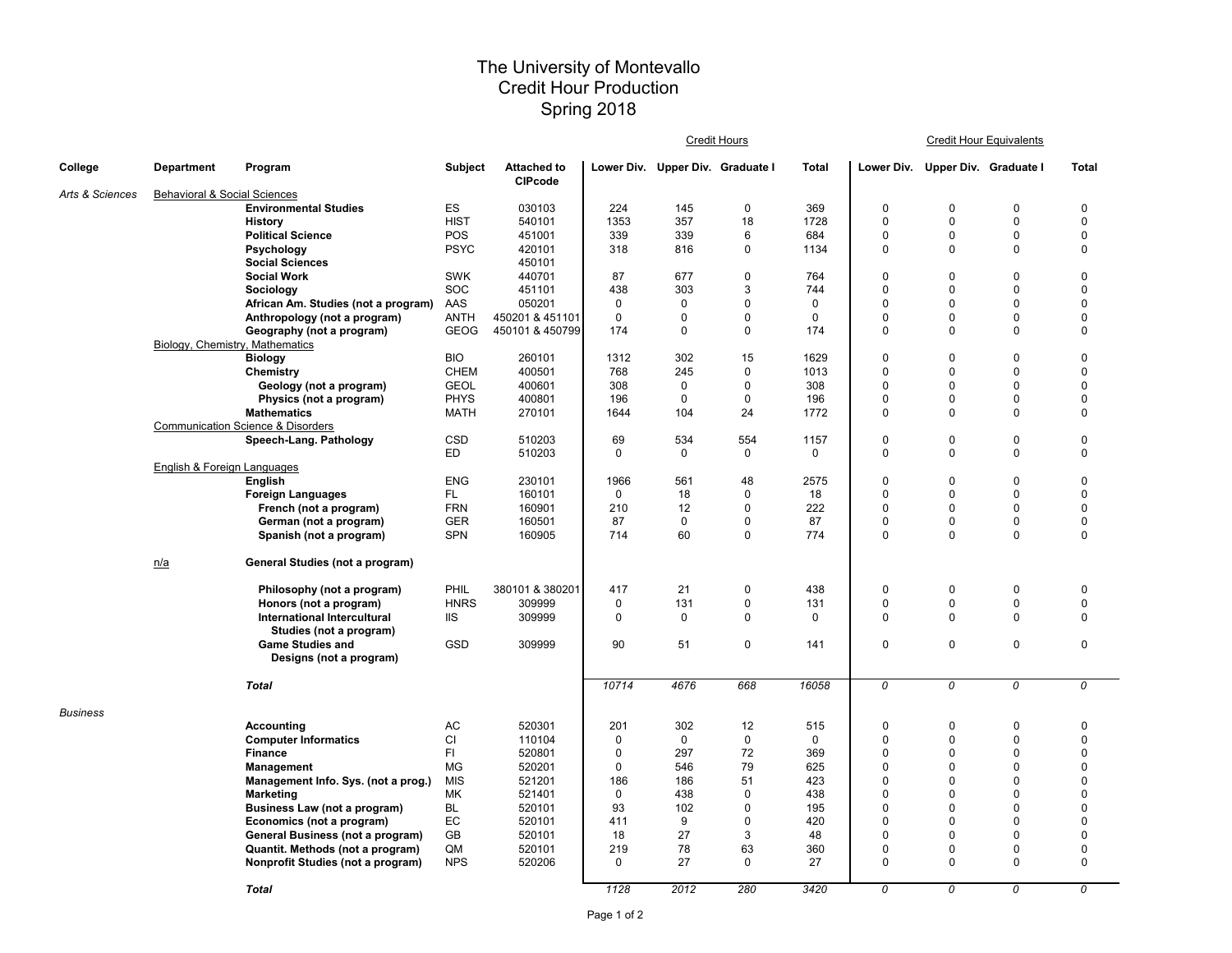## The University of Montevallo Credit Hour Production Spring 2018

|                 |                                         |                                              |                |                                      |             |                                  | Credit Hours |              | <b>Credit Hour Equivalents</b> |                                  |             |              |  |
|-----------------|-----------------------------------------|----------------------------------------------|----------------|--------------------------------------|-------------|----------------------------------|--------------|--------------|--------------------------------|----------------------------------|-------------|--------------|--|
| College         | <b>Department</b>                       | Program                                      | <b>Subject</b> | <b>Attached to</b><br><b>CIPcode</b> |             | Lower Div. Upper Div. Graduate I |              | <b>Total</b> |                                | Lower Div. Upper Div. Graduate I |             | <b>Total</b> |  |
| Arts & Sciences | <b>Behavioral &amp; Social Sciences</b> |                                              |                |                                      |             |                                  |              |              |                                |                                  |             |              |  |
|                 |                                         | <b>Environmental Studies</b>                 | ES             | 030103                               | 224         | 145                              | $\mathbf 0$  | 369          | 0                              | $\mathbf 0$                      | $\Omega$    | 0            |  |
|                 |                                         | <b>History</b>                               | <b>HIST</b>    | 540101                               | 1353        | 357                              | 18           | 1728         | 0                              | $\mathbf 0$                      | $\mathbf 0$ | 0            |  |
|                 |                                         | <b>Political Science</b>                     | POS            | 451001                               | 339         | 339                              | 6            | 684          | 0                              | $\pmb{0}$                        | $\mathbf 0$ | 0            |  |
|                 |                                         | Psychology                                   | <b>PSYC</b>    | 420101                               | 318         | 816                              | 0            | 1134         | 0                              | $\mathsf 0$                      | $\mathbf 0$ | 0            |  |
|                 |                                         | <b>Social Sciences</b>                       |                | 450101                               |             |                                  |              |              |                                |                                  |             |              |  |
|                 |                                         | <b>Social Work</b>                           | <b>SWK</b>     | 440701                               | 87          | 677                              | $\mathbf 0$  | 764          | 0                              | $\mathbf 0$                      | $\mathbf 0$ | 0            |  |
|                 |                                         | Sociology                                    | SOC            | 451101                               | 438         | 303                              | 3            | 744          | $\Omega$                       | $\mathbf 0$                      | $\mathbf 0$ | 0            |  |
|                 |                                         | African Am. Studies (not a program)          | AAS            | 050201                               | $\mathbf 0$ | 0                                | $\mathbf 0$  | $\mathbf 0$  | 0                              | $\mathbf 0$                      | $\Omega$    | 0            |  |
|                 |                                         | Anthropology (not a program)                 | <b>ANTH</b>    | 450201 & 451101                      | $\mathbf 0$ | $\Omega$                         | $\mathbf 0$  | $\mathbf 0$  | 0                              | $\mathbf 0$                      | $\mathbf 0$ | 0            |  |
|                 |                                         | Geography (not a program)                    | <b>GEOG</b>    | 450101 & 450799                      | 174         | $\Omega$                         | $\mathbf 0$  | 174          | 0                              | $\mathbf 0$                      | $\mathbf 0$ | 0            |  |
|                 | Biology, Chemistry, Mathematics         |                                              |                |                                      |             |                                  |              |              |                                |                                  |             |              |  |
|                 |                                         | <b>Biology</b>                               | <b>BIO</b>     | 260101                               | 1312        | 302                              | 15           | 1629         | 0                              | $\mathbf 0$                      | $\mathbf 0$ | 0            |  |
|                 |                                         | Chemistry                                    | <b>CHEM</b>    | 400501                               | 768         | 245                              | $\mathbf 0$  | 1013         | $\Omega$                       | $\mathbf 0$                      | $\Omega$    | 0            |  |
|                 |                                         | Geology (not a program)                      | <b>GEOL</b>    | 400601                               | 308         | $\Omega$                         | $\mathbf 0$  | 308          | 0                              | $\Omega$                         | $\Omega$    | 0            |  |
|                 |                                         | Physics (not a program)                      | <b>PHYS</b>    | 400801                               | 196         | 0                                | $\mathbf 0$  | 196          | 0                              | $\mathbf 0$                      | $\mathbf 0$ | 0            |  |
|                 |                                         | <b>Mathematics</b>                           | MATH           | 270101                               | 1644        | 104                              | 24           | 1772         | 0                              | $\mathbf 0$                      | $\Omega$    | 0            |  |
|                 |                                         | <b>Communication Science &amp; Disorders</b> |                |                                      |             |                                  |              |              |                                |                                  |             |              |  |
|                 |                                         | Speech-Lang. Pathology                       | CSD            | 510203                               | 69          | 534                              | 554          | 1157         | 0                              | $\mathsf 0$                      | $\pmb{0}$   | 0            |  |
|                 |                                         |                                              | ED             | 510203                               | 0           | 0                                | 0            | 0            | 0                              | $\mathbf 0$                      | $\Omega$    | 0            |  |
|                 | English & Foreign Languages             |                                              |                |                                      |             |                                  |              |              |                                |                                  |             |              |  |
|                 |                                         | English                                      | <b>ENG</b>     | 230101                               | 1966        | 561                              | 48           | 2575         | 0                              | $\mathbf 0$                      | $\mathbf 0$ | 0            |  |
|                 |                                         | <b>Foreign Languages</b>                     | FL.            | 160101                               | $\mathbf 0$ | 18                               | 0            | 18           | 0                              | $\mathbf 0$                      | $\Omega$    | 0            |  |
|                 |                                         | French (not a program)                       | <b>FRN</b>     | 160901                               | 210         | 12                               | $\mathbf 0$  | 222          | 0                              | $\mathbf 0$                      | $\Omega$    | 0            |  |
|                 |                                         | German (not a program)                       | <b>GER</b>     | 160501                               | 87          | $\mathbf 0$                      | 0            | 87           | 0                              | $\mathbf 0$                      | 0           | 0            |  |
|                 |                                         | Spanish (not a program)                      | SPN            | 160905                               | 714         | 60                               | 0            | 774          | 0                              | $\mathbf 0$                      | 0           | 0            |  |
|                 | n/a                                     | General Studies (not a program)              |                |                                      |             |                                  |              |              |                                |                                  |             |              |  |
|                 |                                         | Philosophy (not a program)                   | PHIL           | 380101 & 380201                      | 417         | 21                               | $\mathbf 0$  | 438          | 0                              | $\mathbf 0$                      | 0           | 0            |  |
|                 |                                         | Honors (not a program)                       | <b>HNRS</b>    | 309999                               | 0           | 131                              | 0            | 131          | 0                              | $\mathbf 0$                      | 0           | 0            |  |
|                 |                                         | International Intercultural                  | <b>IIS</b>     | 309999                               | $\mathbf 0$ | $\mathbf 0$                      | $\mathbf 0$  | $\mathbf 0$  | 0                              | $\mathbf 0$                      | $\mathbf 0$ | 0            |  |
|                 |                                         | Studies (not a program)                      |                |                                      |             |                                  |              |              |                                |                                  |             |              |  |
|                 |                                         | <b>Game Studies and</b>                      | GSD            | 309999                               | 90          | 51                               | 0            | 141          | 0                              | $\mathbf 0$                      | 0           | 0            |  |
|                 |                                         | Designs (not a program)                      |                |                                      |             |                                  |              |              |                                |                                  |             |              |  |
|                 |                                         | <b>Total</b>                                 |                |                                      | 10714       | 4676                             | 668          | 16058        | 0                              | 0                                | 0           | 0            |  |
| <b>Business</b> |                                         |                                              |                |                                      |             |                                  |              |              |                                |                                  |             |              |  |
|                 |                                         | <b>Accounting</b>                            | AC             | 520301                               | 201         | 302                              | 12           | 515          | 0                              | $\mathbf 0$                      | $\mathbf 0$ | 0            |  |
|                 |                                         | <b>Computer Informatics</b>                  | CI             | 110104                               | $\mathbf 0$ | $\mathbf 0$                      | $\mathbf 0$  | $\mathbf 0$  | 0                              | $\mathbf 0$                      | $\mathbf 0$ | 0            |  |
|                 |                                         | <b>Finance</b>                               | FI.            | 520801                               | 0           | 297                              | 72           | 369          | 0                              | $\Omega$                         | $\Omega$    | 0            |  |
|                 |                                         | Management                                   | <b>MG</b>      | 520201                               | 0           | 546                              | 79           | 625          | 0                              | $\mathbf 0$                      | $\mathbf 0$ | 0            |  |
|                 |                                         | Management Info. Sys. (not a prog.)          | <b>MIS</b>     | 521201                               | 186         | 186                              | 51           | 423          | $\Omega$                       | $\Omega$                         | $\Omega$    | 0            |  |
|                 |                                         | <b>Marketing</b>                             | MK             | 521401                               | $\mathbf 0$ | 438                              | $\mathbf 0$  | 438          | 0                              | $\mathbf 0$                      | $\Omega$    | 0            |  |
|                 |                                         | Business Law (not a program)                 | BL             | 520101                               | 93          | 102                              | $\mathbf 0$  | 195          | 0                              | $\mathbf 0$                      | $\mathbf 0$ | 0            |  |
|                 |                                         | Economics (not a program)                    | EC             | 520101                               | 411         | 9                                | $\mathbf 0$  | 420          | 0                              | $\Omega$                         | $\Omega$    | 0            |  |
|                 |                                         | General Business (not a program)             | GB             | 520101                               | 18          | 27                               | 3            | 48           | 0                              | $\mathbf 0$                      | $\mathbf 0$ | 0            |  |
|                 |                                         | Quantit. Methods (not a program)             | QM             | 520101                               | 219         | 78                               | 63           | 360          | 0                              | $\pmb{0}$                        | $\mathbf 0$ | 0            |  |
|                 |                                         | Nonprofit Studies (not a program)            | <b>NPS</b>     | 520206                               | $\Omega$    | 27                               | $\mathbf 0$  | 27           | 0                              | $\mathbf 0$                      | $\Omega$    | 0            |  |
|                 |                                         | <b>Total</b>                                 |                |                                      | 1128        | 2012                             | 280          | 3420         | 0                              | 0                                | 0           | 0            |  |